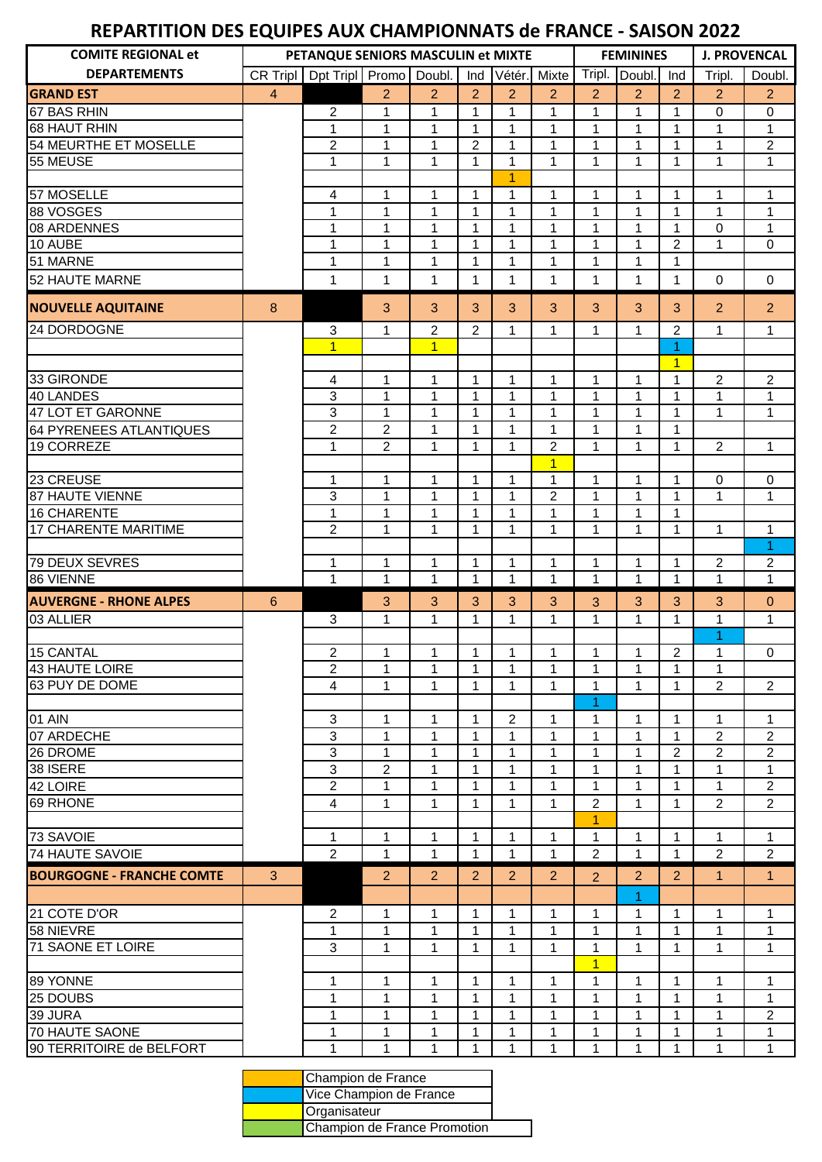## **REPARTITION DES EQUIPES AUX CHAMPIONNATS de FRANCE - SAISON 2022**

| <b>COMITE REGIONAL et</b>        |                | PETANQUE SENIORS MASCULIN et MIXTE |                                           |                              |                   |                            |                                  |                              | <b>FEMININES</b>             |                                |                             | <b>J. PROVENCAL</b> |
|----------------------------------|----------------|------------------------------------|-------------------------------------------|------------------------------|-------------------|----------------------------|----------------------------------|------------------------------|------------------------------|--------------------------------|-----------------------------|---------------------|
| <b>DEPARTEMENTS</b>              | CR Tripl       | Dpt Tripl Promo Doubl.             |                                           |                              | Ind               |                            | Vétér. Mixte                     | Tripl.                       | Doubl.                       | Ind                            | Tripl.                      | Doubl.              |
| <b>GRAND EST</b>                 | $\overline{4}$ |                                    | $\overline{2}$                            | $\overline{2}$               | $\overline{2}$    | 2                          | 2                                | $\overline{2}$               | $\overline{2}$               | 2                              | 2                           | $\overline{2}$      |
| 67 BAS RHIN                      |                | $\overline{2}$                     | 1                                         | $\mathbf{1}$                 | $\mathbf 1$       | $\mathbf{1}$               | $\mathbf{1}$                     | $\mathbf{1}$                 | $\mathbf{1}$                 | 1                              | $\mathbf 0$                 | $\boldsymbol{0}$    |
| <b>68 HAUT RHIN</b>              |                | 1                                  | $\mathbf{1}$                              | $\mathbf{1}$                 | $\mathbf 1$       | $\mathbf{1}$               | $\mathbf{1}$                     | $\mathbf{1}$                 | $\mathbf{1}$                 | 1                              | $\mathbf{1}$                | $\mathbf{1}$        |
| 54 MEURTHE ET MOSELLE            |                | $\overline{c}$                     | $\mathbf{1}$                              | $\mathbf{1}$                 | $\overline{2}$    | 1                          | $\mathbf{1}$                     | $\mathbf{1}$                 | $\mathbf{1}$                 | 1                              | 1                           | $\overline{2}$      |
| 55 MEUSE                         |                | 1                                  | $\mathbf{1}$                              | $\mathbf{1}$                 | $\mathbf{1}$      | $\mathbf{1}$               | $\mathbf{1}$                     | $\mathbf{1}$                 | $\mathbf{1}$                 | $\mathbf{1}$                   | $\mathbf{1}$                | $\mathbf{1}$        |
|                                  |                |                                    |                                           |                              |                   | 1                          |                                  |                              |                              |                                |                             |                     |
| 57 MOSELLE                       |                | 4                                  | 1                                         | $\mathbf{1}$                 | 1                 | 1                          | 1                                | 1                            | 1                            | 1                              | 1                           | $\mathbf{1}$        |
| 88 VOSGES                        |                | 1                                  | $\mathbf{1}$                              | $\mathbf{1}$                 | $\mathbf{1}$      | $\mathbf{1}$               | $\mathbf{1}$                     | $\mathbf{1}$                 | $\mathbf{1}$                 | $\mathbf{1}$                   | $\mathbf{1}$                | $\mathbf{1}$        |
| 08 ARDENNES                      |                | 1                                  | 1<br>$\mathbf{1}$                         | $\mathbf{1}$<br>$\mathbf{1}$ | $\mathbf{1}$      | $\mathbf{1}$               | $\mathbf{1}$                     | $\mathbf{1}$<br>$\mathbf{1}$ | $\mathbf{1}$<br>$\mathbf{1}$ | $\mathbf{1}$<br>$\overline{2}$ | $\mathbf 0$<br>$\mathbf{1}$ | $\mathbf{1}$        |
| 10 AUBE<br>51 MARNE              |                | 1<br>1                             | $\mathbf{1}$                              | $\mathbf{1}$                 | 1<br>$\mathbf{1}$ | $\mathbf 1$<br>$\mathbf 1$ | $\mathbf{1}$<br>$\mathbf{1}$     | $\mathbf{1}$                 | 1                            | 1                              |                             | 0                   |
| 52 HAUTE MARNE                   |                | 1                                  | 1                                         | $\mathbf{1}$                 | 1                 | 1                          | 1                                | 1                            | 1                            | $\mathbf{1}$                   | $\mathbf 0$                 | $\mathbf 0$         |
|                                  |                |                                    |                                           |                              |                   |                            |                                  |                              |                              |                                |                             |                     |
| <b>NOUVELLE AQUITAINE</b>        | 8              |                                    | 3                                         | 3                            | 3                 | 3                          | 3                                | 3                            | 3                            | 3                              | $\overline{2}$              | $\overline{2}$      |
| 24 DORDOGNE                      |                | 3                                  | 1                                         | $\overline{c}$               | 2                 | 1                          | 1                                | 1                            | 1                            | $\overline{c}$                 | 1                           | 1                   |
|                                  |                | $\overline{1}$                     |                                           | $\overline{1}$               |                   |                            |                                  |                              |                              | 1                              |                             |                     |
|                                  |                |                                    |                                           |                              |                   |                            |                                  |                              |                              | $\overline{1}$                 |                             |                     |
| 33 GIRONDE                       |                | 4                                  | $\mathbf{1}$                              | $\mathbf 1$                  | 1                 | 1                          | $\mathbf{1}$                     | $\mathbf{1}$                 | 1                            | 1                              | $\overline{2}$              | $\overline{2}$      |
| 40 LANDES                        |                | 3                                  | 1                                         | $\mathbf{1}$                 | 1                 | 1                          | $\mathbf{1}$                     | 1                            | 1                            | $\mathbf{1}$                   | $\mathbf{1}$                | $\mathbf{1}$        |
| 47 LOT ET GARONNE                |                | 3                                  | 1                                         | $\mathbf{1}$                 | 1                 | 1                          | 1                                | 1                            | 1                            | $\mathbf{1}$                   | $\mathbf{1}$                | $\mathbf{1}$        |
| 64 PYRENEES ATLANTIQUES          |                | $\overline{c}$                     | $\overline{\mathbf{c}}$<br>$\overline{c}$ | 1                            | 1<br>1            | 1                          | 1                                | 1                            | 1<br>1                       | 1<br>$\mathbf{1}$              | $\overline{2}$              |                     |
| 19 CORREZE                       |                | 1                                  |                                           | 1                            |                   | 1                          | $\overline{c}$<br>$\overline{1}$ | 1                            |                              |                                |                             | $\mathbf{1}$        |
| 23 CREUSE                        |                | 1                                  | 1                                         | $\mathbf{1}$                 | 1                 | 1                          | 1                                | 1                            | 1                            | 1                              | 0                           | $\pmb{0}$           |
| 87 HAUTE VIENNE                  |                | 3                                  | $\mathbf 1$                               | 1                            | 1                 | 1                          | $\overline{c}$                   | 1                            | 1                            | 1                              | $\mathbf{1}$                | $\mathbf{1}$        |
| <b>16 CHARENTE</b>               |                | 1                                  | $\mathbf 1$                               | $\mathbf{1}$                 | 1                 | 1                          | 1                                | 1                            | $\mathbf 1$                  | 1                              |                             |                     |
| 17 CHARENTE MARITIME             |                | $\overline{2}$                     | 1                                         | 1                            | 1                 | 1                          | $\mathbf{1}$                     | 1                            | 1                            | $\mathbf{1}$                   | 1                           | $\mathbf 1$         |
|                                  |                |                                    |                                           |                              |                   |                            |                                  |                              |                              |                                |                             | 1                   |
| 79 DEUX SEVRES                   |                | $\mathbf{1}$                       | 1                                         | $\mathbf{1}$                 | $\mathbf{1}$      | 1                          | 1                                | $\mathbf{1}$                 | 1                            | $\mathbf{1}$                   | $\overline{2}$              | $\overline{2}$      |
| 86 VIENNE                        |                | $\mathbf{1}$                       | $\mathbf 1$                               | $\mathbf{1}$                 | $\mathbf{1}$      | 1                          | $\mathbf{1}$                     | $\mathbf{1}$                 | $\mathbf 1$                  | $\mathbf 1$                    | $\mathbf 1$                 | $\mathbf{1}$        |
| <b>AUVERGNE - RHONE ALPES</b>    | 6              |                                    | 3                                         | 3                            | 3                 | 3                          | 3                                | 3                            | 3                            | 3                              | 3                           | $\mathbf{0}$        |
| 03 ALLIER                        |                | 3                                  | 1                                         | 1                            | 1                 | 1                          | 1                                | 1                            | 1                            | 1                              | 1                           | $\mathbf{1}$        |
|                                  |                |                                    |                                           |                              |                   |                            |                                  |                              |                              |                                |                             |                     |
| <b>15 CANTAL</b>                 |                | $\overline{c}$                     | 1                                         | 1                            | 1                 | 1                          | 1                                | 1                            | 1                            | $\sqrt{2}$                     | 1                           | $\mathbf 0$         |
| <b>43 HAUTE LOIRE</b>            |                | $\overline{c}$                     | $\mathbf{1}$                              | $\mathbf{1}$                 | $\mathbf 1$       | $\mathbf{1}$               | $\mathbf{1}$                     | $\mathbf{1}$                 | $\mathbf 1$                  | $\mathbf{1}$                   | 1                           |                     |
| 63 PUY DE DOME                   |                | 4                                  | 1                                         | 1                            | 1                 | 1                          | $\mathbf 1$                      | $\mathbf{1}$<br>1            | $\mathbf 1$                  | 1                              | $\overline{2}$              | $\overline{2}$      |
| 01 AIN                           |                | 3                                  | 1                                         | 1                            | 1                 | $\overline{2}$             | 1                                | 1                            | 1                            | 1                              | 1                           | 1                   |
| 07 ARDECHE                       |                | $\mathbf{3}$                       | $\mathbf{1}$                              | 1                            | 1                 | 1                          | 1                                | 1                            | 1                            | $\mathbf{1}$                   | $\overline{2}$              | $\overline{2}$      |
| 26 DROME                         |                | 3                                  | $\mathbf{1}$                              | 1                            | 1                 | 1                          | 1                                | 1                            | 1                            | 2                              | $\overline{c}$              | $\overline{2}$      |
| 38 ISERE                         |                | $\mathbf{3}$                       | $\overline{c}$                            | 1                            | 1                 | 1                          | 1                                | 1                            | 1                            | $\mathbf{1}$                   | $\mathbf{1}$                | $\mathbf{1}$        |
| 42 LOIRE                         |                | $\overline{2}$                     | 1                                         | 1                            | 1                 | 1                          | 1                                | 1                            | 1                            | 1                              | 1                           | $\overline{2}$      |
| 69 RHONE                         |                | 4                                  | 1                                         | 1                            | 1                 | 1                          | 1                                | 2                            | 1                            | 1                              | 2                           | $\overline{2}$      |
|                                  |                |                                    |                                           |                              |                   |                            |                                  | 1                            |                              |                                |                             |                     |
| 73 SAVOIE                        |                | 1                                  | 1                                         | 1                            | 1                 | 1                          | 1                                | 1                            | 1                            | 1                              | 1                           | 1                   |
| <b>74 HAUTE SAVOIE</b>           |                | $\overline{2}$                     | $\mathbf{1}$                              | 1                            | 1                 | 1                          | 1                                | $\overline{2}$               | 1                            | 1                              | 2                           | $\overline{2}$      |
| <b>BOURGOGNE - FRANCHE COMTE</b> | 3              |                                    | $\overline{2}$                            | $\overline{2}$               | $\overline{2}$    | 2                          | 2                                | $\overline{2}$               | 2                            | 2                              | $\mathbf{1}$                | $\mathbf{1}$        |
|                                  |                |                                    |                                           |                              |                   |                            |                                  |                              | 1                            |                                |                             |                     |
| 21 COTE D'OR                     |                | $\overline{2}$                     | 1                                         | 1                            | 1                 | 1                          | 1                                | 1                            | 1                            | 1                              | 1                           | 1                   |
| 58 NIEVRE                        |                | 1                                  | $\mathbf 1$                               | 1                            | 1                 | 1                          | 1                                | 1                            | 1                            | 1                              | 1                           | $\mathbf{1}$        |
| <b>71 SAONE ET LOIRE</b>         |                | 3                                  | $\mathbf{1}$                              | $\mathbf{1}$                 | 1                 | 1                          | 1                                | 1                            | $\mathbf{1}$                 | 1                              | 1                           | $\mathbf{1}$        |
|                                  |                |                                    |                                           |                              |                   |                            |                                  | $\overline{1}$               |                              |                                |                             |                     |
| 89 YONNE                         |                | $\mathbf 1$                        | $\mathbf 1$                               | $\mathbf{1}$                 | 1                 | $\mathbf{1}$               | 1                                | 1                            | 1                            | 1                              | 1                           | $\mathbf{1}$        |
| 25 DOUBS                         |                | 1                                  | 1                                         | 1                            | 1                 | 1                          | 1                                | 1                            | 1                            | 1                              | 1                           | $\mathbf{1}$        |
| 39 JURA                          |                | 1                                  | 1                                         | $\mathbf{1}$                 | 1                 | 1                          | 1                                | 1                            | 1                            | 1                              | 1                           | $\overline{2}$      |
| <b>70 HAUTE SAONE</b>            |                | 1                                  | 1                                         | $\mathbf{1}$                 | 1                 | 1<br>1                     | $\mathbf{1}$<br>$\mathbf 1$      | 1<br>$\mathbf{1}$            | 1<br>1                       | 1<br>1                         | 1                           | $\mathbf{1}$        |
| 90 TERRITOIRE de BELFORT         |                | 1                                  | $\mathbf{1}$                              | 1                            | 1                 |                            |                                  |                              |                              |                                | 1                           | $\mathbf{1}$        |

| Champion de France           |  |
|------------------------------|--|
| Vice Champion de France      |  |
| Organisateur                 |  |
| Champion de France Promotion |  |
|                              |  |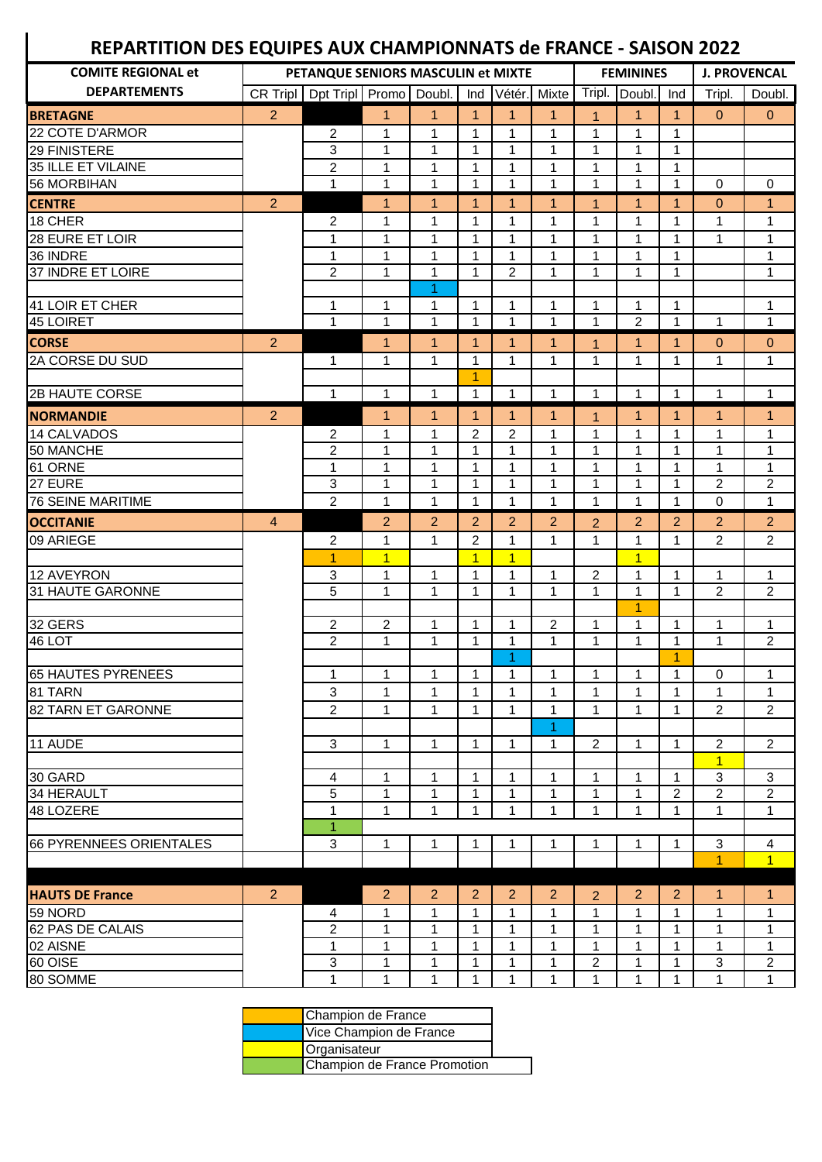## **REPARTITION DES EQUIPES AUX CHAMPIONNATS de FRANCE - SAISON 2022**

 $\overline{\phantom{a}}$ 

| <b>COMITE REGIONAL et</b> |                | PETANQUE SENIORS MASCULIN et MIXTE |                |                |                |                      |                   | <b>FEMININES</b> |                |                | <b>J. PROVENCAL</b> |                           |  |
|---------------------------|----------------|------------------------------------|----------------|----------------|----------------|----------------------|-------------------|------------------|----------------|----------------|---------------------|---------------------------|--|
| <b>DEPARTEMENTS</b>       | CR Tripl       | Dpt Tripl Promo Doubl.             |                |                | Ind            |                      | Vétér. Mixte      |                  | Tripl. Doubl.  | Ind            | Tripl.              | Doubl.                    |  |
| <b>BRETAGNE</b>           | $\overline{2}$ |                                    | $\mathbf{1}$   | $\mathbf{1}$   | $\mathbf{1}$   | $\mathbf{1}$         | $\mathbf{1}$      | $\mathbf{1}$     | $\mathbf{1}$   | $\mathbf{1}$   | $\Omega$            | $\pmb{0}$                 |  |
| 22 COTE D'ARMOR           |                | $\overline{c}$                     | 1              | 1              | 1              | $\mathbf{1}$         | $\mathbf{1}$      | $\mathbf{1}$     | $\mathbf 1$    | $\mathbf{1}$   |                     |                           |  |
| 29 FINISTERE              |                | 3                                  | 1              | $\mathbf{1}$   | $\mathbf{1}$   | $\mathbf{1}$         | $\mathbf{1}$      | $\mathbf{1}$     | $\mathbf 1$    | 1              |                     |                           |  |
| 35 ILLE ET VILAINE        |                | $\overline{c}$                     | $\mathbf 1$    | $\mathbf{1}$   | $\mathbf 1$    | $\mathbf{1}$         | $\mathbf{1}$      | $\mathbf{1}$     | $\mathbf 1$    | 1              |                     |                           |  |
| <b>56 MORBIHAN</b>        |                | 1                                  | $\mathbf 1$    | $\mathbf{1}$   | $\mathbf{1}$   | $\mathbf{1}$         | $\mathbf{1}$      | 1                | $\mathbf 1$    | $\mathbf 1$    | 0                   | $\mathbf 0$               |  |
| <b>CENTRE</b>             | $\overline{a}$ |                                    | $\mathbf{1}$   | $\mathbf{1}$   | $\overline{1}$ | $\mathbf{1}$         | $\mathbf{1}$      | 1                | $\overline{1}$ | $\mathbf{1}$   | 0                   | $\mathbf{1}$              |  |
| 18 CHER                   |                | $\overline{c}$                     | 1              | 1              | 1              | 1                    | $\mathbf{1}$      | 1                | 1              | 1              | 1                   | $\mathbf{1}$              |  |
| 28 EURE ET LOIR           |                | 1                                  | $\mathbf{1}$   | $\mathbf{1}$   | $\mathbf{1}$   | $\mathbf{1}$         | $\mathbf{1}$      | $\mathbf{1}$     | $\mathbf{1}$   | $\mathbf{1}$   | $\mathbf{1}$        | $\mathbf{1}$              |  |
| 36 INDRE                  |                | 1                                  | 1              | $\mathbf{1}$   | $\mathbf{1}$   | $\mathbf{1}$         | $\mathbf{1}$      | $\mathbf{1}$     | $\mathbf{1}$   | $\mathbf{1}$   |                     | $\mathbf{1}$              |  |
| 37 INDRE ET LOIRE         |                | $\overline{2}$                     | 1              | $\mathbf{1}$   | $\mathbf 1$    | $\overline{2}$       | $\mathbf{1}$      | $\mathbf{1}$     | $\mathbf{1}$   | $\mathbf{1}$   |                     | $\mathbf{1}$              |  |
|                           |                |                                    |                | 1              |                |                      |                   |                  |                |                |                     |                           |  |
| 41 LOIR ET CHER           |                | $\mathbf{1}$                       | 1              | 1              | $\mathbf{1}$   | $\mathbf{1}$         | $\mathbf{1}$      | 1                | $\mathbf 1$    | $\mathbf 1$    |                     | $\mathbf{1}$              |  |
| 45 LOIRET                 |                | $\mathbf{1}$                       | $\mathbf{1}$   | $\mathbf{1}$   | $\mathbf{1}$   | $\mathbf{1}$         | $\mathbf{1}$      | $\mathbf{1}$     | $\overline{2}$ | $\mathbf{1}$   | $\mathbf{1}$        | $\mathbf{1}$              |  |
| <b>CORSE</b>              | 2              |                                    | $\mathbf{1}$   | $\mathbf{1}$   | $\mathbf{1}$   | $\mathbf{1}$         | $\mathbf{1}$      | 1                | $\mathbf{1}$   | $\mathbf{1}$   | $\mathbf{0}$        | $\mathbf{0}$              |  |
| 2A CORSE DU SUD           |                | 1                                  | 1              | 1              | 1              | 1                    | $\mathbf{1}$      | 1                | 1              | 1              | 1                   | $\mathbf{1}$              |  |
|                           |                |                                    |                |                | $\overline{1}$ |                      |                   |                  |                |                |                     |                           |  |
| <b>2B HAUTE CORSE</b>     |                | $\mathbf{1}$                       | $\mathbf{1}$   | $\mathbf{1}$   | $\mathbf{1}$   | $\mathbf{1}$         | $\mathbf{1}$      | $\mathbf{1}$     | $\mathbf{1}$   | $\mathbf{1}$   | 1                   | $\mathbf{1}$              |  |
| <b>NORMANDIE</b>          | $\overline{2}$ |                                    | $\mathbf{1}$   | $\mathbf{1}$   | $\mathbf{1}$   | $\blacktriangleleft$ | $\mathbf{1}$      | $\mathbf{1}$     | $\mathbf{1}$   | $\mathbf{1}$   | $\mathbf{1}$        | $\mathbf{1}$              |  |
| 14 CALVADOS               |                | 2                                  | 1              | 1              | $\overline{c}$ | $\overline{c}$       | $\mathbf{1}$      | $\mathbf{1}$     | 1              | 1              | 1                   | 1                         |  |
| 50 MANCHE                 |                | $\overline{2}$                     | $\mathbf{1}$   | 1              | 1              | $\mathbf{1}$         | $\mathbf{1}$      | 1                | 1              | 1              | 1                   | $\mathbf{1}$              |  |
| 61 ORNE                   |                | 1                                  | 1              | 1              | 1              | $\mathbf 1$          | $\mathbf{1}$      | 1                | 1              | 1              | 1                   | $\mathbf{1}$              |  |
| 27 EURE                   |                | 3                                  | 1              | 1              | 1              | $\mathbf 1$          | $\mathbf{1}$      | 1                | 1              | 1              | $\overline{c}$      | $\overline{c}$            |  |
| <b>76 SEINE MARITIME</b>  |                | $\overline{c}$                     | $\mathbf{1}$   | 1              | $\mathbf 1$    | 1                    | $\mathbf{1}$      | 1                | 1              | 1              | 0                   | $\mathbf{1}$              |  |
| <b>OCCITANIE</b>          | $\overline{4}$ |                                    | $\overline{2}$ | $\overline{2}$ | $\overline{2}$ | $\overline{2}$       | $\overline{2}$    | $\overline{2}$   | $\overline{2}$ | 2              | $\overline{2}$      | $\overline{2}$            |  |
| 09 ARIEGE                 |                | 2                                  | 1              | $\mathbf{1}$   | $\overline{2}$ | $\mathbf{1}$         | $\mathbf{1}$      | $\mathbf{1}$     | 1              | $\mathbf{1}$   | 2                   | $\overline{2}$            |  |
|                           |                | $\overline{1}$                     | $\overline{1}$ |                | $\overline{1}$ | $\overline{1}$       |                   |                  | $\overline{1}$ |                |                     |                           |  |
| 12 AVEYRON                |                | 3                                  | $\mathbf 1$    | $\mathbf{1}$   | 1              | $\mathbf 1$          | $\mathbf{1}$      | $\overline{2}$   | $\mathbf 1$    | 1              | 1                   | 1                         |  |
| 31 HAUTE GARONNE          |                | 5                                  | $\mathbf{1}$   | 1              | 1              | $\mathbf 1$          | $\mathbf{1}$      | $\mathbf{1}$     | $\mathbf 1$    | $\mathbf{1}$   | $\overline{2}$      | $\overline{c}$            |  |
|                           |                |                                    |                |                |                |                      |                   |                  | $\overline{1}$ |                |                     |                           |  |
| 32 GERS                   |                | $\overline{c}$                     | $\overline{c}$ | 1              | $\mathbf{1}$   | 1                    | $\overline{c}$    | 1                | 1              | 1              | 1                   | 1                         |  |
| 46 LOT                    |                | $\overline{2}$                     | 1              | 1              | 1              | $\mathbf{1}$         | $\mathbf{1}$      | $\mathbf{1}$     | 1              | 1              | 1                   | $\overline{c}$            |  |
|                           |                |                                    |                |                |                | 1                    |                   |                  |                | $\overline{1}$ |                     |                           |  |
| <b>65 HAUTES PYRENEES</b> |                | $\mathbf{1}$                       | $\mathbf{1}$   | $\mathbf{1}$   | $\mathbf 1$    | $\mathbf 1$          | $\mathbf 1$       | $\mathbf 1$      | $\mathbf{1}$   | $\mathbf{1}$   | $\mathbf 0$         | $\mathbf{1}$              |  |
| 81 TARN                   |                | 3                                  | 1              | 1              | 1              | 1                    | 1                 | 1                | 1              | 1              | 1                   | 1                         |  |
| 82 TARN ET GARONNE        |                | $\overline{2}$                     | 1              | 1              | 1              | 1                    | 1                 | 1                | 1              | 1              | 2                   | $\overline{c}$            |  |
| 11 AUDE                   |                | 3                                  | $\mathbf{1}$   | $\mathbf{1}$   | $\mathbf{1}$   | $\mathbf{1}$         | 1<br>$\mathbf{1}$ | $\overline{2}$   | $\mathbf{1}$   | 1              | 2                   | $\overline{2}$            |  |
|                           |                |                                    |                |                |                |                      |                   |                  |                |                | $\overline{1}$      |                           |  |
| 30 GARD                   |                | 4                                  | 1              | $\mathbf 1$    | $\mathbf 1$    | $\mathbf{1}$         | $\mathbf{1}$      | 1                | $\mathbf{1}$   | 1              | 3                   | $\ensuremath{\mathsf{3}}$ |  |
| 34 HERAULT                |                | 5                                  | 1              | $\mathbf{1}$   | $\mathbf 1$    | $\mathbf 1$          | $\mathbf 1$       | $\mathbf 1$      | $\mathbf 1$    | $\overline{c}$ | $\overline{c}$      | $\boldsymbol{2}$          |  |
| 48 LOZERE                 |                | 1                                  | $\mathbf{1}$   | $\mathbf{1}$   | 1              | 1                    | $\mathbf{1}$      | 1                | 1              | 1              | 1                   | $\mathbf{1}$              |  |
|                           |                | $\mathbf{1}$                       |                |                |                |                      |                   |                  |                |                |                     |                           |  |
| 66 PYRENNEES ORIENTALES   |                | 3                                  | $\mathbf{1}$   | 1              | 1              | $\mathbf{1}$         | 1                 | $\mathbf{1}$     | 1              | 1              | 3                   | 4                         |  |
|                           |                |                                    |                |                |                |                      |                   |                  |                |                | 1                   | $\overline{1}$            |  |
|                           |                |                                    |                |                |                |                      |                   |                  |                |                |                     |                           |  |
| <b>HAUTS DE France</b>    | $\overline{2}$ |                                    | $\overline{2}$ | $\overline{2}$ | $\overline{2}$ | $\overline{2}$       | $\overline{2}$    | $\overline{2}$   | $\overline{2}$ | $\overline{2}$ | $\mathbf{1}$        | $\mathbf{1}$              |  |
| 59 NORD                   |                | 4                                  | 1              | 1              | 1              | $\mathbf{1}$         | $\mathbf{1}$      | 1                | 1              | $\mathbf{1}$   | 1                   | $\mathbf{1}$              |  |
| 62 PAS DE CALAIS          |                | $\overline{c}$                     | 1              | $\mathbf{1}$   | 1              | 1                    | $\mathbf{1}$      | $\mathbf{1}$     | 1              | 1              | 1                   | $\mathbf{1}$              |  |
| 02 AISNE                  |                | 1                                  | 1              | 1              | 1              | 1                    | $\mathbf{1}$      | 1                | 1              | 1              | 1                   | $\mathbf{1}$              |  |
| 60 OISE                   |                | 3                                  | 1              | 1              | 1              | 1                    | $\mathbf{1}$      | 2                | 1              | 1              | 3                   | $\boldsymbol{2}$          |  |
| 80 SOMME                  |                | 1                                  | 1              | $\mathbf{1}$   | 1              | 1                    | $\mathbf{1}$      | 1                | $\mathbf 1$    | 1              | 1                   | $\mathbf{1}$              |  |

| Champion de France           |  |
|------------------------------|--|
| Vice Champion de France      |  |
| Organisateur                 |  |
| Champion de France Promotion |  |